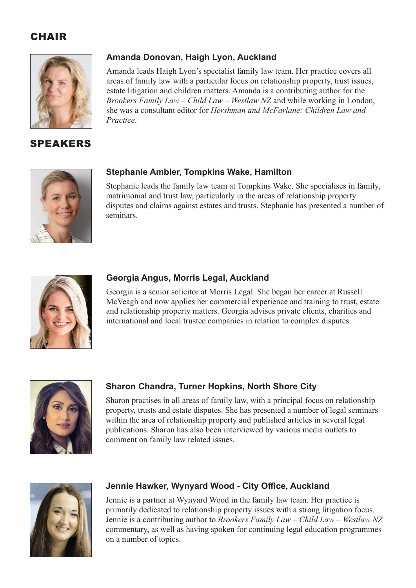### **CHAIR**



### SPEAKERS

### **Amanda Donovan, Haigh Lyon, Auckland**

Amanda leads Haigh Lyon's specialist family law team. Her practice covers all areas of family law with a particular focus on relationship property, trust issues, estate litigation and children matters. Amanda is a contributing author for the *Brookers Family Law – Child Law – Westlaw NZ* and while working in London, she was a consultant editor for *Hershman and McFarlane: Children Law and Practice*.



### **Stephanie Ambler, Tompkins Wake, Hamilton**

Stephanie leads the family law team at Tompkins Wake. She specialises in family, matrimonial and trust law, particularly in the areas of relationship property disputes and claims against estates and trusts. Stephanie has presented a number of seminars.



### **Georgia Angus, Morris Legal, Auckland**

Georgia is a senior solicitor at Morris Legal. She began her career at Russell McVeagh and now applies her commercial experience and training to trust, estate and relationship property matters. Georgia advises private clients, charities and international and local trustee companies in relation to complex disputes.



### **Sharon Chandra, Turner Hopkins, North Shore City**

Sharon practises in all areas of family law, with a principal focus on relationship property, trusts and estate disputes. She has presented a number of legal seminars within the area of relationship property and published articles in several legal publications. Sharon has also been interviewed by various media outlets to comment on family law related issues.



### **Jennie Hawker, Wynyard Wood - City Office, Auckland**

Jennie is a partner at Wynyard Wood in the family law team. Her practice is primarily dedicated to relationship property issues with a strong litigation focus. Jennie is a contributing author to *Brookers Family Law – Child Law – Westlaw NZ* commentary, as well as having spoken for continuing legal education programmes on a number of topics.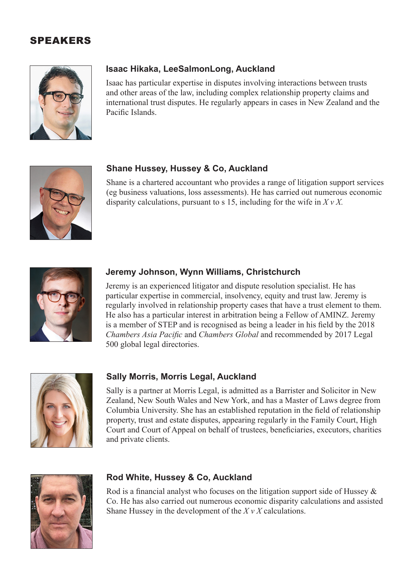### SPEAKERS



### **Isaac Hikaka, LeeSalmonLong, Auckland**

Isaac has particular expertise in disputes involving interactions between trusts and other areas of the law, including complex relationship property claims and international trust disputes. He regularly appears in cases in New Zealand and the Pacific Islands.



### **Shane Hussey, Hussey & Co, Auckland**

Shane is a chartered accountant who provides a range of litigation support services (eg business valuations, loss assessments). He has carried out numerous economic disparity calculations, pursuant to s 15, including for the wife in *X v X.*



### **Jeremy Johnson, Wynn Williams, Christchurch**

Jeremy is an experienced litigator and dispute resolution specialist. He has particular expertise in commercial, insolvency, equity and trust law. Jeremy is regularly involved in relationship property cases that have a trust element to them. He also has a particular interest in arbitration being a Fellow of AMINZ. Jeremy is a member of STEP and is recognised as being a leader in his field by the 2018 *Chambers Asia Pacific* and *Chambers Global* and recommended by 2017 Legal 500 global legal directories.



### **Sally Morris, Morris Legal, Auckland**

Sally is a partner at Morris Legal, is admitted as a Barrister and Solicitor in New Zealand, New South Wales and New York, and has a Master of Laws degree from Columbia University. She has an established reputation in the field of relationship property, trust and estate disputes, appearing regularly in the Family Court, High Court and Court of Appeal on behalf of trustees, beneficiaries, executors, charities and private clients.



### **Rod White, Hussey & Co, Auckland**

Rod is a financial analyst who focuses on the litigation support side of Hussey & Co. He has also carried out numerous economic disparity calculations and assisted Shane Hussey in the development of the *X v X* calculations.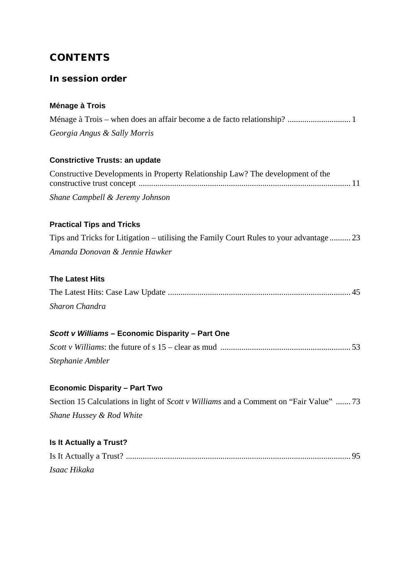### **CONTENTS**

### In session order

### **Ménage à Trois**

| Georgia Angus & Sally Morris |  |
|------------------------------|--|

### **Constrictive Trusts: an update**

| Constructive Developments in Property Relationship Law? The development of the |  |
|--------------------------------------------------------------------------------|--|
|                                                                                |  |
| Shane Campbell & Jeremy Johnson                                                |  |

### **Practical Tips and Tricks**

| Tips and Tricks for Litigation – utilising the Family Court Rules to your advantage  23 |  |
|-----------------------------------------------------------------------------------------|--|
| Amanda Donovan & Jennie Hawker                                                          |  |

#### **The Latest Hits**

| Sharon Chandra |  |
|----------------|--|

#### *Scott v Williams* **– Economic Disparity – Part One**

| Stephanie Ambler |  |
|------------------|--|

### **Economic Disparity – Part Two**

| Section 15 Calculations in light of <i>Scott v Williams</i> and a Comment on "Fair Value" 73 |  |
|----------------------------------------------------------------------------------------------|--|
| Shane Hussey & Rod White                                                                     |  |

### **Is It Actually a Trust?**

| Isaac Hikaka |  |
|--------------|--|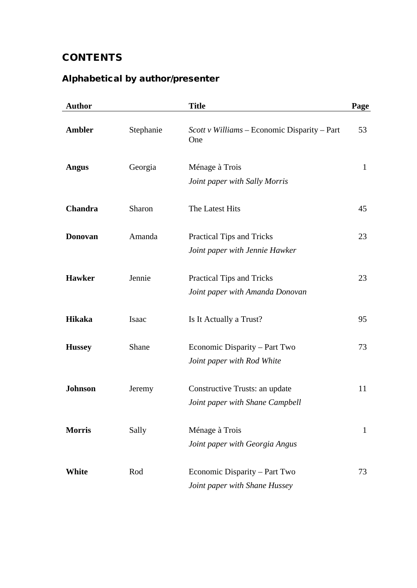# **CONTENTS**

# Alphabetical by author/presenter

| <b>Author</b>  |           | <b>Title</b>                                                      | Page         |
|----------------|-----------|-------------------------------------------------------------------|--------------|
| <b>Ambler</b>  | Stephanie | Scott v Williams – Economic Disparity – Part<br>One               | 53           |
| <b>Angus</b>   | Georgia   | Ménage à Trois<br>Joint paper with Sally Morris                   | $\mathbf{1}$ |
| Chandra        | Sharon    | The Latest Hits                                                   | 45           |
| <b>Donovan</b> | Amanda    | Practical Tips and Tricks<br>Joint paper with Jennie Hawker       | 23           |
| <b>Hawker</b>  | Jennie    | Practical Tips and Tricks<br>Joint paper with Amanda Donovan      | 23           |
| <b>Hikaka</b>  | Isaac     | Is It Actually a Trust?                                           | 95           |
| <b>Hussey</b>  | Shane     | Economic Disparity – Part Two<br>Joint paper with Rod White       | 73           |
| <b>Johnson</b> | Jeremy    | Constructive Trusts: an update<br>Joint paper with Shane Campbell | 11           |
| <b>Morris</b>  | Sally     | Ménage à Trois<br>Joint paper with Georgia Angus                  | $\mathbf{1}$ |
| White          | Rod       | Economic Disparity – Part Two<br>Joint paper with Shane Hussey    | 73           |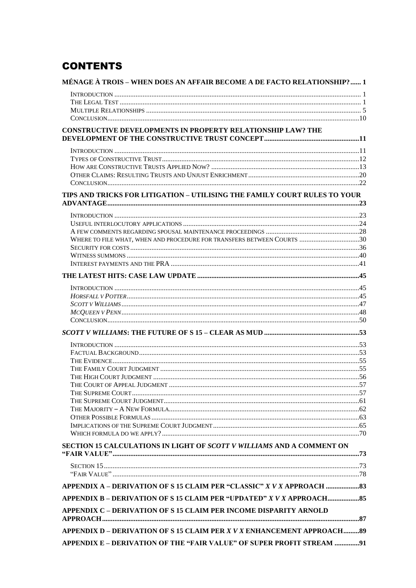## **CONTENTS**

| MÉNAGE À TROIS - WHEN DOES AN AFFAIR BECOME A DE FACTO RELATIONSHIP? 1    |  |
|---------------------------------------------------------------------------|--|
|                                                                           |  |
|                                                                           |  |
|                                                                           |  |
|                                                                           |  |
| <b>CONSTRUCTIVE DEVELOPMENTS IN PROPERTY RELATIONSHIP LAW? THE</b>        |  |
|                                                                           |  |
|                                                                           |  |
|                                                                           |  |
|                                                                           |  |
|                                                                           |  |
|                                                                           |  |
| TIPS AND TRICKS FOR LITIGATION - UTILISING THE FAMILY COURT RULES TO YOUR |  |
|                                                                           |  |
|                                                                           |  |
|                                                                           |  |
| WHERE TO FILE WHAT, WHEN AND PROCEDURE FOR TRANSFERS BETWEEN COURTS 30    |  |
|                                                                           |  |
|                                                                           |  |
|                                                                           |  |
|                                                                           |  |
|                                                                           |  |
|                                                                           |  |
|                                                                           |  |
|                                                                           |  |
|                                                                           |  |
|                                                                           |  |
|                                                                           |  |
|                                                                           |  |
|                                                                           |  |
|                                                                           |  |
|                                                                           |  |
|                                                                           |  |
|                                                                           |  |
|                                                                           |  |
|                                                                           |  |
|                                                                           |  |
|                                                                           |  |
| SECTION 15 CALCULATIONS IN LIGHT OF SCOTT V WILLIAMS AND A COMMENT ON     |  |
|                                                                           |  |
|                                                                           |  |
| APPENDIX A - DERIVATION OF S 15 CLAIM PER "CLASSIC" X V X APPROACH 33     |  |
| APPENDIX B - DERIVATION OF S 15 CLAIM PER "UPDATED" X V X APPROACH 85     |  |
| APPENDIX C - DERIVATION OF S 15 CLAIM PER INCOME DISPARITY ARNOLD         |  |
| APPENDIX D - DERIVATION OF S 15 CLAIM PER X V X ENHANCEMENT APPROACH89    |  |
| APPENDIX E - DERIVATION OF THE "FAIR VALUE" OF SUPER PROFIT STREAM 91     |  |